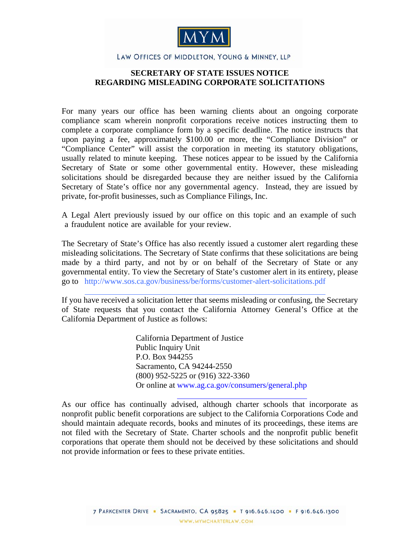

## LAW OFFICES OF MIDDLETON, YOUNG & MINNEY, LLP

## **SECRETARY OF STATE ISSUES NOTICE REGARDING MISLEADING CORPORATE SOLICITATIONS**

For many years our office has been warning clients about an ongoing corporate compliance scam wherein nonprofit corporations receive notices instructing them to complete a corporate compliance form by a specific deadline. The notice instructs that upon paying a fee, approximately \$100.00 or more, the "Compliance Division" or "Compliance Center" will assist the corporation in meeting its statutory obligations, usually related to minute keeping. These notices appear to be issued by the California Secretary of State or some other governmental entity. However, these misleading solicitations should be disregarded because they are neither issued by the California Secretary of State's office nor any governmental agency. Instead, they are issued by private, for-profit businesses, such as Compliance Filings, Inc.

A Legal Alert previously issued by our office on this [topic](http://www.mymcharterlaw.com/pdf/Corporate_Compliance_Notice_051305 (VKL)1.pdf) and an [example](http://www.mymcharterlaw.com/pdf/Annual_Minutes_Disclosure_Statement.pdf) of such a fraudulent notice are available for your review.

The Secretary of State's Office has also recently issued a customer alert regarding these misleading solicitations. The Secretary of State confirms that these solicitations are being made by a third party, and not by or on behalf of the Secretary of State or any governmental entity. To view the Secretary of State's customer alert in its entirety, please go to http://www.sos.ca.gov/business/be/forms/customer-alert-solicitations.pdf

If you have received a solicitation letter that seems misleading or confusing, the Secretary of State requests that you contact the California Attorney General's Office at the California Department of Justice as follows:

> California Department of Justice Public Inquiry Unit P.O. Box 944255 Sacramento, CA 94244-2550 (800) 952-5225 or (916) 322-3360 Or online at www.ag.ca.gov/consumers/general.php

As our office has continually advised, although charter schools that incorporate as nonprofit public benefit corporations are subject to the California Corporations Code and should maintain adequate records, books and minutes of its proceedings, these items are not filed with the Secretary of State. Charter schools and the nonprofit public benefit corporations that operate them should not be deceived by these solicitations and should not provide information or fees to these private entities.